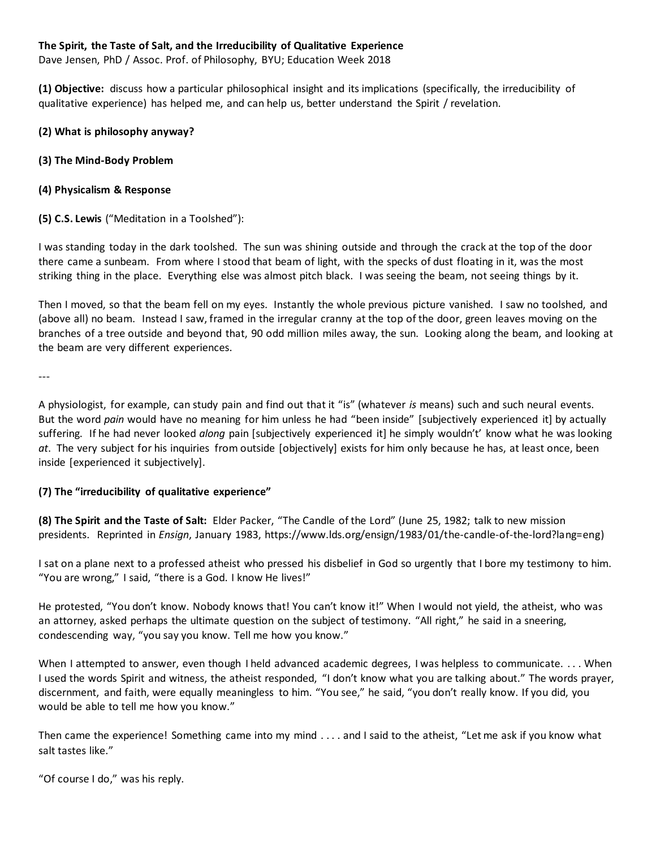## **The Spirit, the Taste of Salt, and the Irreducibility of Qualitative Experience**

Dave Jensen, PhD / Assoc. Prof. of Philosophy, BYU; Education Week 2018

**(1) Objective:** discuss how a particular philosophical insight and its implications (specifically, the irreducibility of qualitative experience) has helped me, and can help us, better understand the Spirit / revelation.

- **(2) What is philosophy anyway?**
- **(3) The Mind-Body Problem**
- **(4) Physicalism & Response**
- **(5) C.S. Lewis** ("Meditation in a Toolshed"):

I was standing today in the dark toolshed. The sun was shining outside and through the crack at the top of the door there came a sunbeam. From where I stood that beam of light, with the specks of dust floating in it, was the most striking thing in the place. Everything else was almost pitch black. I was seeing the beam, not seeing things by it.

Then I moved, so that the beam fell on my eyes. Instantly the whole previous picture vanished. I saw no toolshed, and (above all) no beam. Instead I saw, framed in the irregular cranny at the top of the door, green leaves moving on the branches of a tree outside and beyond that, 90 odd million miles away, the sun. Looking along the beam, and looking at the beam are very different experiences.

---

A physiologist, for example, can study pain and find out that it "is" (whatever *is* means) such and such neural events. But the word *pain* would have no meaning for him unless he had "been inside" [subjectively experienced it] by actually suffering. If he had never looked *along* pain [subjectively experienced it] he simply wouldn't' know what he was looking *at*. The very subject for his inquiries from outside [objectively] exists for him only because he has, at least once, been inside [experienced it subjectively].

## **(7) The "irreducibility of qualitative experience"**

**(8) The Spirit and the Taste of Salt:** Elder Packer, "The Candle of the Lord" (June 25, 1982; talk to new mission presidents. Reprinted in *Ensign*, January 1983, https://www.lds.org/ensign/1983/01/the-candle-of-the-lord?lang=eng)

I sat on a plane next to a professed atheist who pressed his disbelief in God so urgently that I bore my testimony to him. "You are wrong," I said, "there is a God. I know He lives!"

He protested, "You don't know. Nobody knows that! You can't know it!" When I would not yield, the atheist, who was an attorney, asked perhaps the ultimate question on the subject of testimony. "All right," he said in a sneering, condescending way, "you say you know. Tell me how you know."

When I attempted to answer, even though I held advanced academic degrees, I was helpless to communicate. . . . When I used the words Spirit and witness, the atheist responded, "I don't know what you are talking about." The words prayer, discernment, and faith, were equally meaningless to him. "You see," he said, "you don't really know. If you did, you would be able to tell me how you know."

Then came the experience! Something came into my mind . . . . and I said to the atheist, "Let me ask if you know what salt tastes like."

"Of course I do," was his reply.